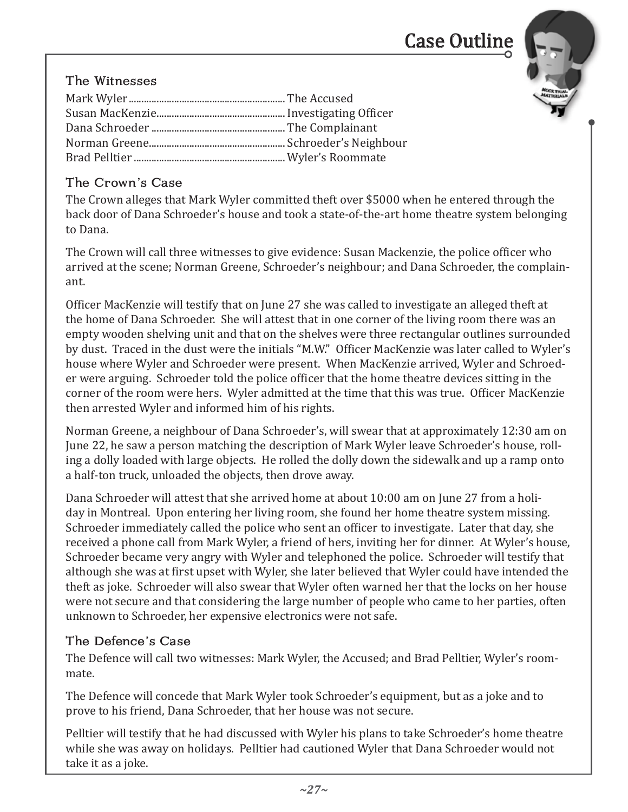# Case Outline



### The Witnesses

#### The Crown's Case

The Crown alleges that Mark Wyler committed theft over \$5000 when he entered through the back door of Dana Schroeder's house and took a state-of-the-art home theatre system belonging to Dana.

The Crown will call three witnesses to give evidence: Susan Mackenzie, the police officer who arrived at the scene; Norman Greene, Schroeder's neighbour; and Dana Schroeder, the complainant.

Officer MacKenzie will testify that on June 27 she was called to investigate an alleged theft at the home of Dana Schroeder. She will attest that in one corner of the living room there was an empty wooden shelving unit and that on the shelves were three rectangular outlines surrounded by dust. Traced in the dust were the initials "M.W." Officer MacKenzie was later called to Wyler's house where Wyler and Schroeder were present. When MacKenzie arrived, Wyler and Schroeder were arguing. Schroeder told the police officer that the home theatre devices sitting in the corner of the room were hers. Wyler admitted at the time that this was true. Officer MacKenzie then arrested Wyler and informed him of his rights.

Norman Greene, a neighbour of Dana Schroeder's, will swear that at approximately 12:30 am on June 22, he saw a person matching the description of Mark Wyler leave Schroeder's house, rolling a dolly loaded with large objects. He rolled the dolly down the sidewalk and up a ramp onto a half-ton truck, unloaded the objects, then drove away.

Dana Schroeder will attest that she arrived home at about 10:00 am on June 27 from a holiday in Montreal. Upon entering her living room, she found her home theatre system missing. Schroeder immediately called the police who sent an officer to investigate. Later that day, she received a phone call from Mark Wyler, a friend of hers, inviting her for dinner. At Wyler's house, Schroeder became very angry with Wyler and telephoned the police. Schroeder will testify that although she was at first upset with Wyler, she later believed that Wyler could have intended the theft as joke. Schroeder will also swear that Wyler often warned her that the locks on her house were not secure and that considering the large number of people who came to her parties, often unknown to Schroeder, her expensive electronics were not safe.

#### The Defence's Case

The Defence will call two witnesses: Mark Wyler, the Accused; and Brad Pelltier, Wyler's roommate.

The Defence will concede that Mark Wyler took Schroeder's equipment, but as a joke and to prove to his friend, Dana Schroeder, that her house was not secure.

Pelltier will testify that he had discussed with Wyler his plans to take Schroeder's home theatre while she was away on holidays. Pelltier had cautioned Wyler that Dana Schroeder would not take it as a joke.